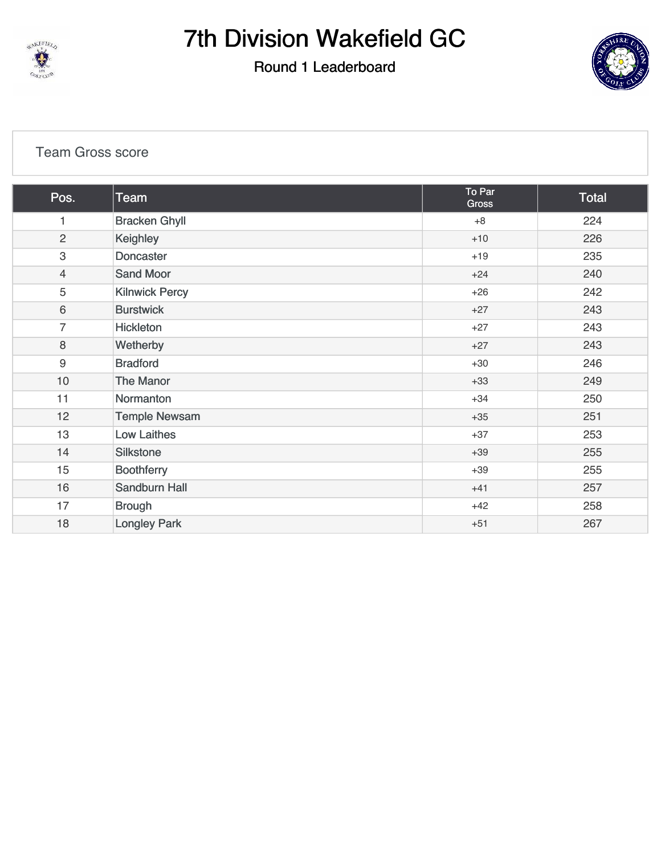

#### Round 1 Leaderboard



#### [Team Gross score](https://cdn2.golfgenius.com/v2tournaments/7026973965474102062?called_from=&round_index=1)

| Pos.           | Team                  | To Par<br>Gross | Total |
|----------------|-----------------------|-----------------|-------|
| 1              | <b>Bracken Ghyll</b>  | $+8$            | 224   |
| $\overline{c}$ | Keighley              | $+10$           | 226   |
| 3              | <b>Doncaster</b>      | $+19$           | 235   |
| $\overline{4}$ | <b>Sand Moor</b>      | $+24$           | 240   |
| 5              | <b>Kilnwick Percy</b> | $+26$           | 242   |
| 6              | <b>Burstwick</b>      | $+27$           | 243   |
| 7              | Hickleton             | $+27$           | 243   |
| 8              | Wetherby              | $+27$           | 243   |
| $9\,$          | <b>Bradford</b>       | $+30$           | 246   |
| 10             | The Manor             | $+33$           | 249   |
| 11             | Normanton             | $+34$           | 250   |
| 12             | <b>Temple Newsam</b>  | $+35$           | 251   |
| 13             | <b>Low Laithes</b>    | $+37$           | 253   |
| 14             | Silkstone             | $+39$           | 255   |
| 15             | <b>Boothferry</b>     | $+39$           | 255   |
| 16             | Sandburn Hall         | $+41$           | 257   |
| 17             | <b>Brough</b>         | $+42$           | 258   |
| 18             | <b>Longley Park</b>   | $+51$           | 267   |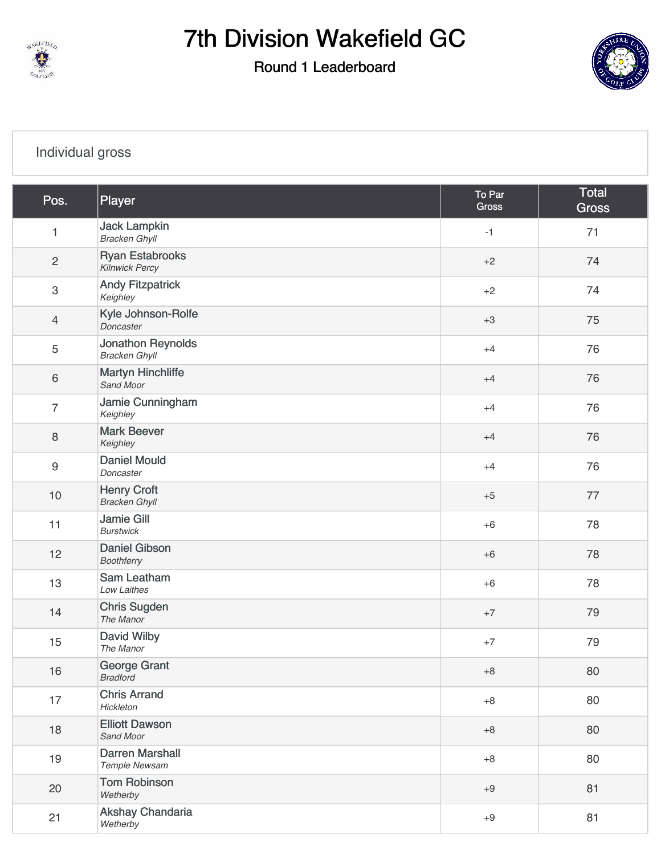

Round 1 Leaderboard



### [Individual gross](https://cdn2.golfgenius.com/v2tournaments/7026973977956350767?called_from=&round_index=1)

| Pos.                      | Player                                           | To Par<br>Gross | <b>Total</b><br><b>Gross</b> |
|---------------------------|--------------------------------------------------|-----------------|------------------------------|
| $\mathbf{1}$              | <b>Jack Lampkin</b><br><b>Bracken Ghyll</b>      | $-1$            | 71                           |
| $\overline{c}$            | <b>Ryan Estabrooks</b><br><b>Kilnwick Percy</b>  | $+2$            | 74                           |
| $\ensuremath{\mathsf{3}}$ | <b>Andy Fitzpatrick</b><br>Keighley              | $+2$            | 74                           |
| $\overline{4}$            | Kyle Johnson-Rolfe<br>Doncaster                  | $+3$            | 75                           |
| $\overline{5}$            | <b>Jonathon Reynolds</b><br><b>Bracken Ghyll</b> | $+4$            | 76                           |
| $\,6\,$                   | <b>Martyn Hinchliffe</b><br>Sand Moor            | $+4$            | 76                           |
| $\overline{7}$            | Jamie Cunningham<br>Keighley                     | $+4$            | 76                           |
| $\,8\,$                   | <b>Mark Beever</b><br>Keighley                   | $+4$            | 76                           |
| $\boldsymbol{9}$          | <b>Daniel Mould</b><br>Doncaster                 | $+4$            | 76                           |
| $10$                      | <b>Henry Croft</b><br><b>Bracken Ghyll</b>       | $+5$            | 77                           |
| 11                        | <b>Jamie Gill</b><br><b>Burstwick</b>            | $+6$            | 78                           |
| 12                        | <b>Daniel Gibson</b><br>Boothferry               | $+6$            | 78                           |
| 13                        | Sam Leatham<br>Low Laithes                       | $+6$            | 78                           |
| 14                        | <b>Chris Sugden</b><br>The Manor                 | $+7$            | 79                           |
| 15                        | David Wilby<br>The Manor                         | $+7$            | 79                           |
| 16                        | George Grant<br><b>Bradford</b>                  | $+8$            | 80                           |
| 17                        | <b>Chris Arrand</b><br>Hickleton                 | $+8$            | 80                           |
| 18                        | <b>Elliott Dawson</b><br>Sand Moor               | $+8$            | 80                           |
| 19                        | <b>Darren Marshall</b><br>Temple Newsam          | $+8$            | 80                           |
| 20                        | <b>Tom Robinson</b><br>Wetherby                  | $+9$            | 81                           |
| 21                        | Akshay Chandaria<br>Wetherby                     | $+9$            | 81                           |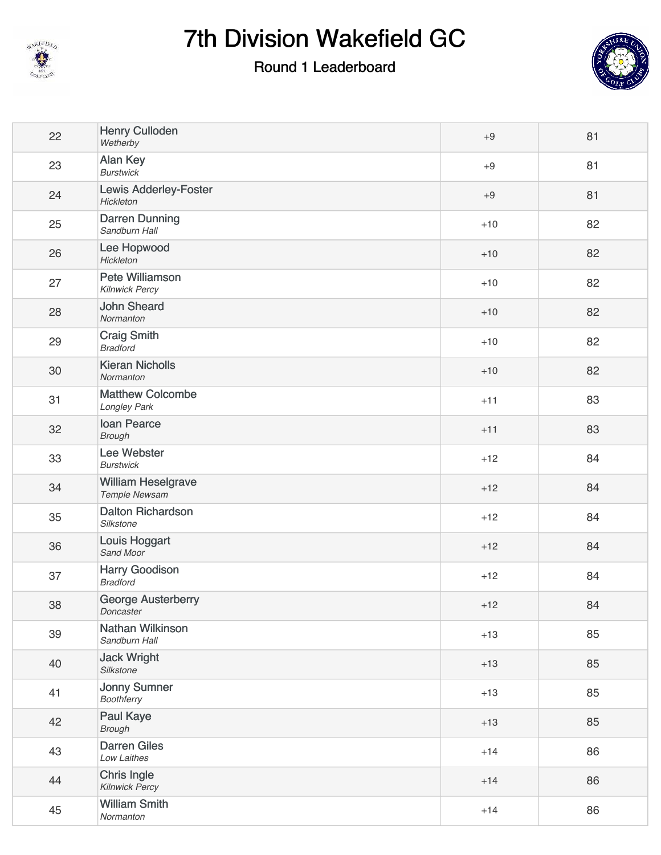

### Round 1 Leaderboard



| 22 | <b>Henry Culloden</b><br>Wetherby               | $+9$  | 81 |
|----|-------------------------------------------------|-------|----|
| 23 | Alan Key<br><b>Burstwick</b>                    | $+9$  | 81 |
| 24 | <b>Lewis Adderley-Foster</b><br>Hickleton       | $+9$  | 81 |
| 25 | <b>Darren Dunning</b><br>Sandburn Hall          | $+10$ | 82 |
| 26 | Lee Hopwood<br>Hickleton                        | $+10$ | 82 |
| 27 | <b>Pete Williamson</b><br><b>Kilnwick Percy</b> | $+10$ | 82 |
| 28 | <b>John Sheard</b><br>Normanton                 | $+10$ | 82 |
| 29 | <b>Craig Smith</b><br><b>Bradford</b>           | $+10$ | 82 |
| 30 | <b>Kieran Nicholls</b><br>Normanton             | $+10$ | 82 |
| 31 | <b>Matthew Colcombe</b><br>Longley Park         | $+11$ | 83 |
| 32 | <b>Ioan Pearce</b><br><b>Brough</b>             | $+11$ | 83 |
| 33 | Lee Webster<br><b>Burstwick</b>                 | $+12$ | 84 |
| 34 | <b>William Heselgrave</b><br>Temple Newsam      | $+12$ | 84 |
| 35 | <b>Dalton Richardson</b><br>Silkstone           | $+12$ | 84 |
| 36 | Louis Hoggart<br>Sand Moor                      | $+12$ | 84 |
| 37 | <b>Harry Goodison</b><br><b>Bradford</b>        | $+12$ | 84 |
| 38 | <b>George Austerberry</b><br>Doncaster          | $+12$ | 84 |
| 39 | Nathan Wilkinson<br>Sandburn Hall               | $+13$ | 85 |
| 40 | <b>Jack Wright</b><br>Silkstone                 | $+13$ | 85 |
| 41 | <b>Jonny Sumner</b><br><b>Boothferry</b>        | $+13$ | 85 |
| 42 | <b>Paul Kaye</b><br><b>Brough</b>               | $+13$ | 85 |
| 43 | <b>Darren Giles</b><br>Low Laithes              | $+14$ | 86 |
| 44 | Chris Ingle<br><b>Kilnwick Percy</b>            | $+14$ | 86 |
| 45 | <b>William Smith</b><br>Normanton               | $+14$ | 86 |